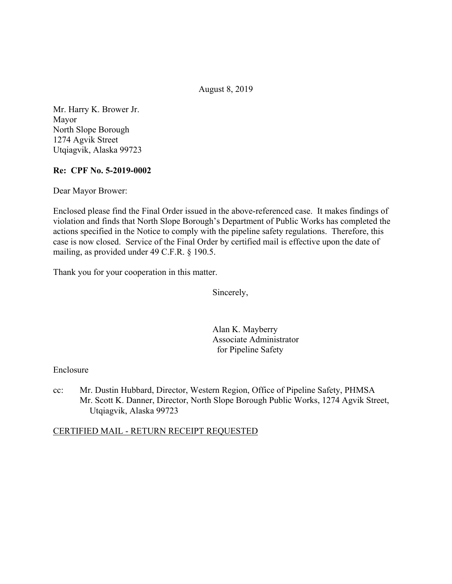August 8, 2019

Mr. Harry K. Brower Jr. Mayor North Slope Borough 1274 Agvik Street Utqiagvik, Alaska 99723

## **Re: CPF No. 5-2019-0002**

Dear Mayor Brower:

Enclosed please find the Final Order issued in the above-referenced case. It makes findings of violation and finds that North Slope Borough's Department of Public Works has completed the actions specified in the Notice to comply with the pipeline safety regulations. Therefore, this case is now closed. Service of the Final Order by certified mail is effective upon the date of mailing, as provided under 49 C.F.R. § 190.5.

Thank you for your cooperation in this matter.

Sincerely,

Alan K. Mayberry Associate Administrator for Pipeline Safety

### Enclosure

cc: Mr. Dustin Hubbard, Director, Western Region, Office of Pipeline Safety, PHMSA Mr. Scott K. Danner, Director, North Slope Borough Public Works, 1274 Agvik Street, Utqiagvik, Alaska 99723

### CERTIFIED MAIL - RETURN RECEIPT REQUESTED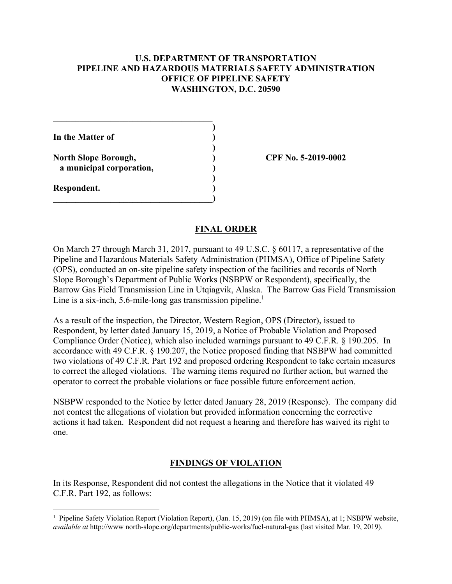## **U.S. DEPARTMENT OF TRANSPORTATION PIPELINE AND HAZARDOUS MATERIALS SAFETY ADMINISTRATION OFFICE OF PIPELINE SAFETY WASHINGTON, D.C. 20590**

**) In the Matter of ) ) North Slope Borough, ) CPF No. 5-2019-0002 a municipal corporation, ) ) Respondent. )**   $\overline{\phantom{a}}$ 

**\_\_\_\_\_\_\_\_\_\_\_\_\_\_\_\_\_\_\_\_\_\_\_\_\_\_\_\_\_\_\_\_\_\_\_\_** 

<u>.</u>

#### **FINAL ORDER**

On March 27 through March 31, 2017, pursuant to 49 U.S.C. § 60117, a representative of the Pipeline and Hazardous Materials Safety Administration (PHMSA), Office of Pipeline Safety (OPS), conducted an on-site pipeline safety inspection of the facilities and records of North Slope Borough's Department of Public Works (NSBPW or Respondent), specifically, the Barrow Gas Field Transmission Line in Utqiagvik, Alaska. The Barrow Gas Field Transmission Line is a six-inch,  $5.6$ -mile-long gas transmission pipeline.<sup>1</sup>

As a result of the inspection, the Director, Western Region, OPS (Director), issued to Respondent, by letter dated January 15, 2019, a Notice of Probable Violation and Proposed Compliance Order (Notice), which also included warnings pursuant to 49 C.F.R. § 190.205. In accordance with 49 C.F.R. § 190.207, the Notice proposed finding that NSBPW had committed two violations of 49 C.F.R. Part 192 and proposed ordering Respondent to take certain measures to correct the alleged violations. The warning items required no further action, but warned the operator to correct the probable violations or face possible future enforcement action.

NSBPW responded to the Notice by letter dated January 28, 2019 (Response). The company did not contest the allegations of violation but provided information concerning the corrective actions it had taken. Respondent did not request a hearing and therefore has waived its right to one.

### **FINDINGS OF VIOLATION**

In its Response, Respondent did not contest the allegations in the Notice that it violated 49 C.F.R. Part 192, as follows:

<sup>&</sup>lt;sup>1</sup> Pipeline Safety Violation Report (Violation Report), (Jan. 15, 2019) (on file with PHMSA), at 1; NSBPW website, *available at* <http://www> [north-slope.org/departments/public-works/fuel-natural-gas](https://north-slope.org/departments/public-works/fuel-natural-gas) (last visited Mar. 19, 2019).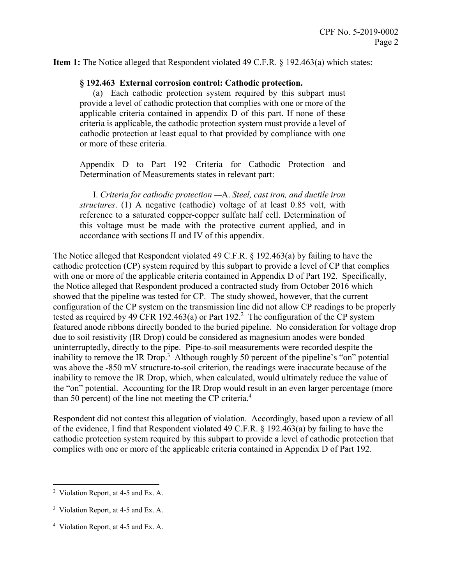**Item 1:** The Notice alleged that Respondent violated 49 C.F.R. § 192.463(a) which states:

#### **§ 192.463 External corrosion control: Cathodic protection.**

(a) Each cathodic protection system required by this subpart must provide a level of cathodic protection that complies with one or more of the applicable criteria contained in appendix D of this part. If none of these criteria is applicable, the cathodic protection system must provide a level of cathodic protection at least equal to that provided by compliance with one or more of these criteria.

Appendix D to Part 192—Criteria for Cathodic Protection and Determination of Measurements states in relevant part:

 this voltage must be made with the protective current applied, and in I. *Criteria for cathodic protection* —A. *Steel, cast iron, and ductile iron structures*. (1) A negative (cathodic) voltage of at least 0.85 volt, with reference to a saturated copper-copper sulfate half cell. Determination of accordance with sections II and IV of this appendix.

The Notice alleged that Respondent violated 49 C.F.R. § 192.463(a) by failing to have the cathodic protection (CP) system required by this subpart to provide a level of CP that complies with one or more of the applicable criteria contained in Appendix D of Part 192. Specifically, the Notice alleged that Respondent produced a contracted study from October 2016 which showed that the pipeline was tested for CP. The study showed, however, that the current configuration of the CP system on the transmission line did not allow CP readings to be properly tested as required by 49 CFR 192.463(a) or Part  $192<sup>2</sup>$ . The configuration of the CP system featured anode ribbons directly bonded to the buried pipeline. No consideration for voltage drop due to soil resistivity (IR Drop) could be considered as magnesium anodes were bonded uninterruptedly, directly to the pipe. Pipe-to-soil measurements were recorded despite the inability to remove the IR Drop.<sup>3</sup> Although roughly 50 percent of the pipeline's "on" potential was above the -850 mV structure-to-soil criterion, the readings were inaccurate because of the inability to remove the IR Drop, which, when calculated, would ultimately reduce the value of the "on" potential. Accounting for the IR Drop would result in an even larger percentage (more than 50 percent) of the line not meeting the CP criteria.<sup>4</sup>

Respondent did not contest this allegation of violation. Accordingly, based upon a review of all of the evidence, I find that Respondent violated 49 C.F.R. § 192.463(a) by failing to have the cathodic protection system required by this subpart to provide a level of cathodic protection that complies with one or more of the applicable criteria contained in Appendix D of Part 192.

<u>.</u>

<sup>&</sup>lt;sup>2</sup> Violation Report, at 4-5 and Ex. A.

<sup>&</sup>lt;sup>3</sup> Violation Report, at 4-5 and Ex. A.

<sup>4</sup> Violation Report, at 4-5 and Ex. A.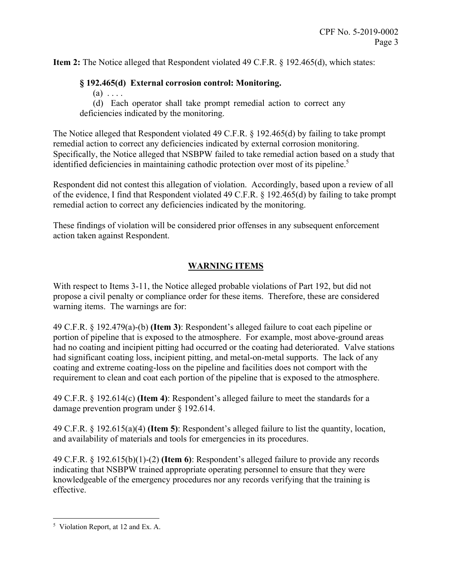**Item 2:** The Notice alleged that Respondent violated 49 C.F.R. § 192.465(d), which states:

# **§ 192.465(d) External corrosion control: Monitoring.**

 $(a) \ldots$ 

(d) Each operator shall take prompt remedial action to correct any deficiencies indicated by the monitoring.

The Notice alleged that Respondent violated 49 C.F.R. § 192.465(d) by failing to take prompt remedial action to correct any deficiencies indicated by external corrosion monitoring. Specifically, the Notice alleged that NSBPW failed to take remedial action based on a study that identified deficiencies in maintaining cathodic protection over most of its pipeline.<sup>5</sup>

Respondent did not contest this allegation of violation. Accordingly, based upon a review of all of the evidence, I find that Respondent violated 49 C.F.R. § 192.465(d) by failing to take prompt remedial action to correct any deficiencies indicated by the monitoring.

These findings of violation will be considered prior offenses in any subsequent enforcement action taken against Respondent.

# **WARNING ITEMS**

With respect to Items 3-11, the Notice alleged probable violations of Part 192, but did not propose a civil penalty or compliance order for these items. Therefore, these are considered warning items. The warnings are for:

49 C.F.R. § 192.479(a)-(b) **(Item 3)**: Respondent's alleged failure to coat each pipeline or portion of pipeline that is exposed to the atmosphere. For example, most above-ground areas had no coating and incipient pitting had occurred or the coating had deteriorated. Valve stations had significant coating loss, incipient pitting, and metal-on-metal supports. The lack of any coating and extreme coating-loss on the pipeline and facilities does not comport with the requirement to clean and coat each portion of the pipeline that is exposed to the atmosphere.

49 C.F.R. § 192.614(c) **(Item 4)**: Respondent's alleged failure to meet the standards for a damage prevention program under § 192.614.

49 C.F.R. § 192.615(a)(4) **(Item 5)**: Respondent's alleged failure to list the quantity, location, and availability of materials and tools for emergencies in its procedures.

49 C.F.R. § 192.615(b)(1)-(2) **(Item 6)**: Respondent's alleged failure to provide any records indicating that NSBPW trained appropriate operating personnel to ensure that they were knowledgeable of the emergency procedures nor any records verifying that the training is effective.

<sup>1</sup> 5 Violation Report, at 12 and Ex. A.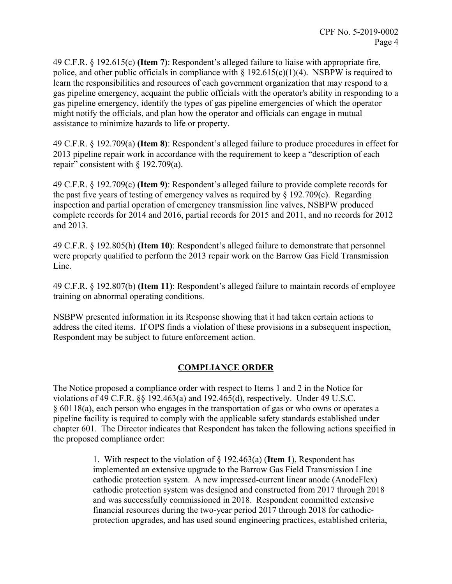police, and other public officials in compliance with  $\S 192.615(c)(1)(4)$ . NSBPW is required to 49 C.F.R. § 192.615(c) **(Item 7)**: Respondent's alleged failure to liaise with appropriate fire, learn the responsibilities and resources of each government organization that may respond to a gas pipeline emergency, acquaint the public officials with the operator's ability in responding to a gas pipeline emergency, identify the types of gas pipeline emergencies of which the operator might notify the officials, and plan how the operator and officials can engage in mutual assistance to minimize hazards to life or property.

49 C.F.R. § 192.709(a) **(Item 8)**: Respondent's alleged failure to produce procedures in effect for 2013 pipeline repair work in accordance with the requirement to keep a "description of each repair" consistent with  $\S$  192.709(a).

49 C.F.R. § 192.709(c) **(Item 9)**: Respondent's alleged failure to provide complete records for the past five years of testing of emergency valves as required by  $\S$  192.709(c). Regarding inspection and partial operation of emergency transmission line valves, NSBPW produced complete records for 2014 and 2016, partial records for 2015 and 2011, and no records for 2012 and 2013.

49 C.F.R. § 192.805(h) **(Item 10)**: Respondent's alleged failure to demonstrate that personnel were properly qualified to perform the 2013 repair work on the Barrow Gas Field Transmission Line.

49 C.F.R. § 192.807(b) **(Item 11)**: Respondent's alleged failure to maintain records of employee training on abnormal operating conditions.

NSBPW presented information in its Response showing that it had taken certain actions to address the cited items. If OPS finds a violation of these provisions in a subsequent inspection, Respondent may be subject to future enforcement action.

# **COMPLIANCE ORDER**

The Notice proposed a compliance order with respect to Items 1 and 2 in the Notice for violations of 49 C.F.R. §§ 192.463(a) and 192.465(d), respectively. Under 49 U.S.C. § 60118(a), each person who engages in the transportation of gas or who owns or operates a pipeline facility is required to comply with the applicable safety standards established under chapter 601. The Director indicates that Respondent has taken the following actions specified in the proposed compliance order:

> 1. With respect to the violation of § 192.463(a) (**Item 1**), Respondent has implemented an extensive upgrade to the Barrow Gas Field Transmission Line cathodic protection system. A new impressed-current linear anode (AnodeFlex) cathodic protection system was designed and constructed from 2017 through 2018 and was successfully commissioned in 2018. Respondent committed extensive financial resources during the two-year period 2017 through 2018 for cathodicprotection upgrades, and has used sound engineering practices, established criteria,